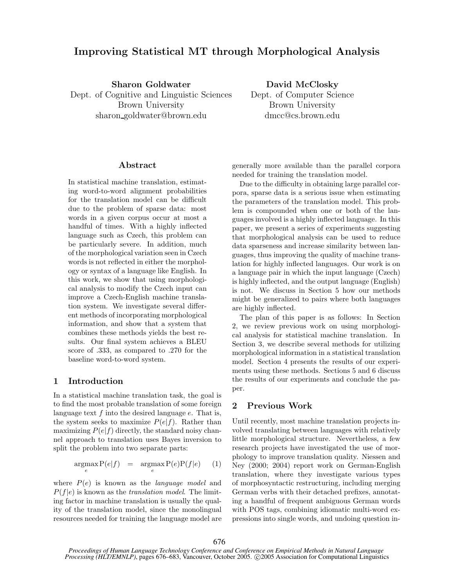# Improving Statistical MT through Morphological Analysis

Sharon Goldwater

Dept. of Cognitive and Linguistic Sciences Brown University sharon goldwater@brown.edu

David McClosky Dept. of Computer Science Brown University dmcc@cs.brown.edu

#### Abstract

In statistical machine translation, estimating word-to-word alignment probabilities for the translation model can be difficult due to the problem of sparse data: most words in a given corpus occur at most a handful of times. With a highly inflected language such as Czech, this problem can be particularly severe. In addition, much of the morphological variation seen in Czech words is not reflected in either the morphology or syntax of a language like English. In this work, we show that using morphological analysis to modify the Czech input can improve a Czech-English machine translation system. We investigate several different methods of incorporating morphological information, and show that a system that combines these methods yields the best results. Our final system achieves a BLEU score of .333, as compared to .270 for the baseline word-to-word system.

# 1 Introduction

In a statistical machine translation task, the goal is to find the most probable translation of some foreign language text  $f$  into the desired language  $e$ . That is, the system seeks to maximize  $P(e|f)$ . Rather than maximizing  $P(e|f)$  directly, the standard noisy channel approach to translation uses Bayes inversion to split the problem into two separate parts:

$$
\underset{e}{\operatorname{argmax}} \mathbf{P}(e|f) = \underset{e}{\operatorname{argmax}} \mathbf{P}(e)\mathbf{P}(f|e) \qquad (1)
$$

where  $P(e)$  is known as the *language model* and  $P(f|e)$  is known as the *translation model*. The limiting factor in machine translation is usually the quality of the translation model, since the monolingual resources needed for training the language model are generally more available than the parallel corpora needed for training the translation model.

Due to the difficulty in obtaining large parallel corpora, sparse data is a serious issue when estimating the parameters of the translation model. This problem is compounded when one or both of the languages involved is a highly inflected language. In this paper, we present a series of experiments suggesting that morphological analysis can be used to reduce data sparseness and increase similarity between languages, thus improving the quality of machine translation for highly inflected languages. Our work is on a language pair in which the input language (Czech) is highly inflected, and the output language (English) is not. We discuss in Section 5 how our methods might be generalized to pairs where both languages are highly inflected.

The plan of this paper is as follows: In Section 2, we review previous work on using morphological analysis for statistical machine translation. In Section 3, we describe several methods for utilizing morphological information in a statistical translation model. Section 4 presents the results of our experiments using these methods. Sections 5 and 6 discuss the results of our experiments and conclude the paper.

# 2 Previous Work

Until recently, most machine translation projects involved translating between languages with relatively little morphological structure. Nevertheless, a few research projects have investigated the use of morphology to improve translation quality. Niessen and Ney (2000; 2004) report work on German-English translation, where they investigate various types of morphosyntactic restructuring, including merging German verbs with their detached prefixes, annotating a handful of frequent ambiguous German words with POS tags, combining idiomatic multi-word expressions into single words, and undoing question in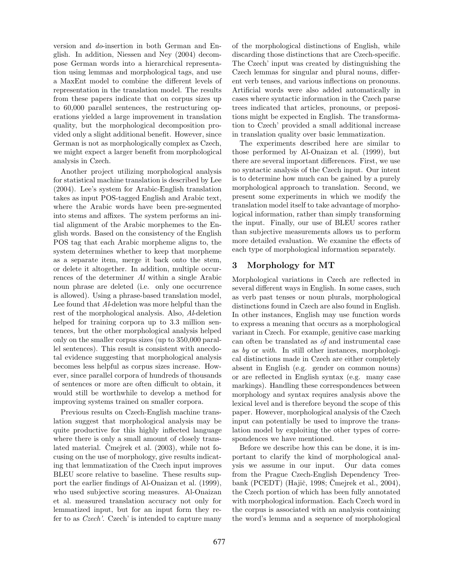version and do-insertion in both German and English. In addition, Niessen and Ney (2004) decompose German words into a hierarchical representation using lemmas and morphological tags, and use a MaxEnt model to combine the different levels of representation in the translation model. The results from these papers indicate that on corpus sizes up to 60,000 parallel sentences, the restructuring operations yielded a large improvement in translation quality, but the morphological decomposition provided only a slight additional benefit. However, since German is not as morphologically complex as Czech, we might expect a larger benefit from morphological analysis in Czech.

Another project utilizing morphological analysis for statistical machine translation is described by Lee (2004). Lee's system for Arabic-English translation takes as input POS-tagged English and Arabic text, where the Arabic words have been pre-segmented into stems and affixes. The system performs an initial alignment of the Arabic morphemes to the English words. Based on the consistency of the English POS tag that each Arabic morpheme aligns to, the system determines whether to keep that morpheme as a separate item, merge it back onto the stem, or delete it altogether. In addition, multiple occurrences of the determiner Al within a single Arabic noun phrase are deleted (i.e. only one occurrence is allowed). Using a phrase-based translation model, Lee found that Al-deletion was more helpful than the rest of the morphological analysis. Also, Al-deletion helped for training corpora up to 3.3 million sentences, but the other morphological analysis helped only on the smaller corpus sizes (up to 350,000 parallel sentences). This result is consistent with anecdotal evidence suggesting that morphological analysis becomes less helpful as corpus sizes increase. However, since parallel corpora of hundreds of thousands of sentences or more are often difficult to obtain, it would still be worthwhile to develop a method for improving systems trained on smaller corpora.

Previous results on Czech-English machine translation suggest that morphological analysis may be quite productive for this highly inflected language where there is only a small amount of closely translated material. Cmejrek et al.  $(2003)$ , while not focusing on the use of morphology, give results indicating that lemmatization of the Czech input improves BLEU score relative to baseline. These results support the earlier findings of Al-Onaizan et al. (1999), who used subjective scoring measures. Al-Onaizan et al. measured translation accuracy not only for lemmatized input, but for an input form they refer to as Czech'. Czech' is intended to capture many of the morphological distinctions of English, while discarding those distinctions that are Czech-specific. The Czech' input was created by distinguishing the Czech lemmas for singular and plural nouns, different verb tenses, and various inflections on pronouns. Artificial words were also added automatically in cases where syntactic information in the Czech parse trees indicated that articles, pronouns, or prepositions might be expected in English. The transformation to Czech' provided a small additional increase in translation quality over basic lemmatization.

The experiments described here are similar to those performed by Al-Onaizan et al. (1999), but there are several important differences. First, we use no syntactic analysis of the Czech input. Our intent is to determine how much can be gained by a purely morphological approach to translation. Second, we present some experiments in which we modify the translation model itself to take advantage of morphological information, rather than simply transforming the input. Finally, our use of BLEU scores rather than subjective measurements allows us to perform more detailed evaluation. We examine the effects of each type of morphological information separately.

# 3 Morphology for MT

Morphological variations in Czech are reflected in several different ways in English. In some cases, such as verb past tenses or noun plurals, morphological distinctions found in Czech are also found in English. In other instances, English may use function words to express a meaning that occurs as a morphological variant in Czech. For example, genitive case marking can often be translated as of and instrumental case as by or with. In still other instances, morphological distinctions made in Czech are either completely absent in English (e.g. gender on common nouns) or are reflected in English syntax (e.g. many case markings). Handling these correspondences between morphology and syntax requires analysis above the lexical level and is therefore beyond the scope of this paper. However, morphological analysis of the Czech input can potentially be used to improve the translation model by exploiting the other types of correspondences we have mentioned.

Before we describe how this can be done, it is important to clarify the kind of morphological analysis we assume in our input. Our data comes from the Prague Czech-English Dependency Treebank (PCEDT) (Hajič, 1998; Čmejrek et al., 2004), the Czech portion of which has been fully annotated with morphological information. Each Czech word in the corpus is associated with an analysis containing the word's lemma and a sequence of morphological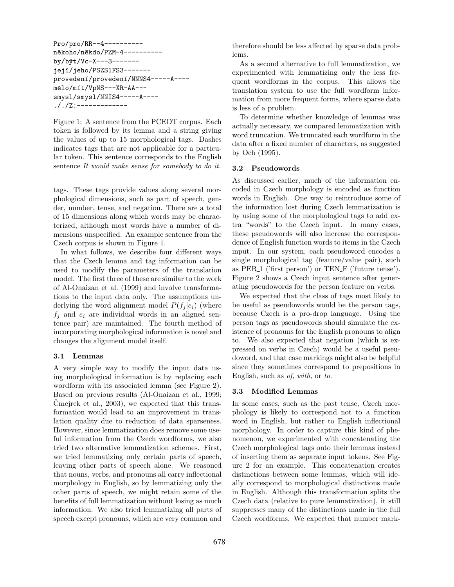Pro/pro/RR--4--------- někoho/někdo/PZM-4---------by/být/Vc-X---3------její/jeho/PSZS1FS3------provedení/provedení/NNNS4-----A---mělo/mít/VpNS---XR-AA--smysl/smysl/NNIS4-----A---- ././Z:-------------

Figure 1: A sentence from the PCEDT corpus. Each token is followed by its lemma and a string giving the values of up to 15 morphological tags. Dashes indicates tags that are not applicable for a particular token. This sentence corresponds to the English sentence It would make sense for somebody to do it.

tags. These tags provide values along several morphological dimensions, such as part of speech, gender, number, tense, and negation. There are a total of 15 dimensions along which words may be characterized, although most words have a number of dimensions unspecified. An example sentence from the Czech corpus is shown in Figure 1.

In what follows, we describe four different ways that the Czech lemma and tag information can be used to modify the parameters of the translation model. The first three of these are similar to the work of Al-Onaizan et al. (1999) and involve transformations to the input data only. The assumptions underlying the word alignment model  $P(f_j|e_i)$  (where  $f_i$  and  $e_i$  are individual words in an aligned sentence pair) are maintained. The fourth method of incorporating morphological information is novel and changes the alignment model itself.

#### 3.1 Lemmas

A very simple way to modify the input data using morphological information is by replacing each wordform with its associated lemma (see Figure 2). Based on previous results (Al-Onaizan et al., 1999; Cmejrek et al.,  $2003$ ), we expected that this transformation would lead to an improvement in translation quality due to reduction of data sparseness. However, since lemmatization does remove some useful information from the Czech wordforms, we also tried two alternative lemmatization schemes. First, we tried lemmatizing only certain parts of speech, leaving other parts of speech alone. We reasoned that nouns, verbs, and pronouns all carry inflectional morphology in English, so by lemmatizing only the other parts of speech, we might retain some of the benefits of full lemmatization without losing as much information. We also tried lemmatizing all parts of speech except pronouns, which are very common and

therefore should be less affected by sparse data problems.

As a second alternative to full lemmatization, we experimented with lemmatizing only the less frequent wordforms in the corpus. This allows the translation system to use the full wordform information from more frequent forms, where sparse data is less of a problem.

To determine whether knowledge of lemmas was actually necessary, we compared lemmatization with word truncation. We truncated each wordform in the data after a fixed number of characters, as suggested by Och (1995).

### 3.2 Pseudowords

As discussed earlier, much of the information encoded in Czech morphology is encoded as function words in English. One way to reintroduce some of the information lost during Czech lemmatization is by using some of the morphological tags to add extra "words" to the Czech input. In many cases, these pseudowords will also increase the correspondence of English function words to items in the Czech input. In our system, each pseudoword encodes a single morphological tag (feature/value pair), such as PER<sub>1</sub> ('first person') or TEN<sub>F</sub> ('future tense'). Figure 2 shows a Czech input sentence after generating pseudowords for the person feature on verbs.

We expected that the class of tags most likely to be useful as pseudowords would be the person tags, because Czech is a pro-drop language. Using the person tags as pseudowords should simulate the existence of pronouns for the English pronouns to align to. We also expected that negation (which is expressed on verbs in Czech) would be a useful pseudoword, and that case markings might also be helpful since they sometimes correspond to prepositions in English, such as of, with, or to.

# 3.3 Modified Lemmas

In some cases, such as the past tense, Czech morphology is likely to correspond not to a function word in English, but rather to English inflectional morphology. In order to capture this kind of phenomenon, we experimented with concatenating the Czech morphological tags onto their lemmas instead of inserting them as separate input tokens. See Figure 2 for an example. This concatenation creates distinctions between some lemmas, which will ideally correspond to morphological distinctions made in English. Although this transformation splits the Czech data (relative to pure lemmatization), it still suppresses many of the distinctions made in the full Czech wordforms. We expected that number mark-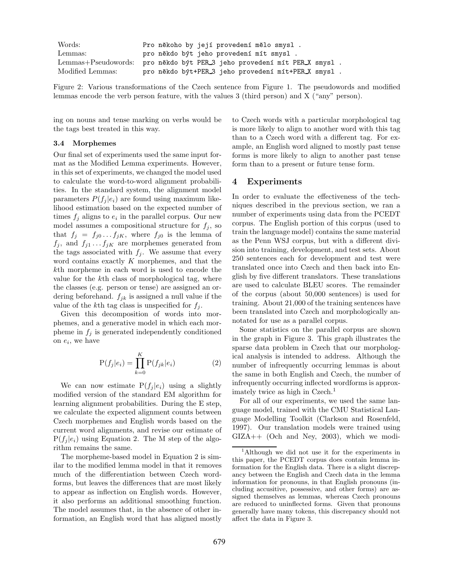| Words:           | Pro někoho by její provedení mělo smysl.                                |  |
|------------------|-------------------------------------------------------------------------|--|
| Lemmas:          | pro někdo být jeho provedení mít smysl.                                 |  |
|                  | Lemmas+Pseudowords: pro někdo být PER_3 jeho provedení mít PER_X smysl. |  |
| Modified Lemmas: | pro někdo být+PER_3 jeho provedení mít+PER_X smysl.                     |  |

Figure 2: Various transformations of the Czech sentence from Figure 1. The pseudowords and modified lemmas encode the verb person feature, with the values 3 (third person) and X ("any" person).

ing on nouns and tense marking on verbs would be the tags best treated in this way.

## 3.4 Morphemes

Our final set of experiments used the same input format as the Modified Lemma experiments. However, in this set of experiments, we changed the model used to calculate the word-to-word alignment probabilities. In the standard system, the alignment model parameters  $P(f_i | e_i)$  are found using maximum likelihood estimation based on the expected number of times  $f_j$  aligns to  $e_i$  in the parallel corpus. Our new model assumes a compositional structure for  $f_j$ , so that  $f_j = f_{j0} \dots f_{jK}$ , where  $f_{j0}$  is the lemma of  $f_j$ , and  $f_{j1} \tldots f_{jK}$  are morphemes generated from the tags associated with  $f_j$ . We assume that every word contains exactly K morphemes, and that the kth morpheme in each word is used to encode the value for the kth class of morphological tag, where the classes (e.g. person or tense) are assigned an ordering beforehand.  $f_{jk}$  is assigned a null value if the value of the kth tag class is unspecified for  $f_i$ .

Given this decomposition of words into morphemes, and a generative model in which each morpheme in  $f_j$  is generated independently conditioned on e<sup>i</sup> , we have

$$
P(f_j|e_i) = \prod_{k=0}^{K} P(f_{jk}|e_i)
$$
 (2)

We can now estimate  $P(f_i | e_i)$  using a slightly modified version of the standard EM algorithm for learning alignment probabilities. During the E step, we calculate the expected alignment counts between Czech morphemes and English words based on the current word alignments, and revise our estimate of  $P(f_j|e_i)$  using Equation 2. The M step of the algorithm remains the same.

The morpheme-based model in Equation 2 is similar to the modified lemma model in that it removes much of the differentiation between Czech wordforms, but leaves the differences that are most likely to appear as inflection on English words. However, it also performs an additional smoothing function. The model assumes that, in the absence of other information, an English word that has aligned mostly

to Czech words with a particular morphological tag is more likely to align to another word with this tag than to a Czech word with a different tag. For example, an English word aligned to mostly past tense forms is more likely to align to another past tense form than to a present or future tense form.

### 4 Experiments

In order to evaluate the effectiveness of the techniques described in the previous section, we ran a number of experiments using data from the PCEDT corpus. The English portion of this corpus (used to train the language model) contains the same material as the Penn WSJ corpus, but with a different division into training, development, and test sets. About 250 sentences each for development and test were translated once into Czech and then back into English by five different translators. These translations are used to calculate BLEU scores. The remainder of the corpus (about 50,000 sentences) is used for training. About 21,000 of the training sentences have been translated into Czech and morphologically annotated for use as a parallel corpus.

Some statistics on the parallel corpus are shown in the graph in Figure 3. This graph illustrates the sparse data problem in Czech that our morphological analysis is intended to address. Although the number of infrequently occurring lemmas is about the same in both English and Czech, the number of infrequently occurring inflected wordforms is approximately twice as high in Czech.<sup>1</sup>

For all of our experiments, we used the same language model, trained with the CMU Statistical Language Modelling Toolkit (Clarkson and Rosenfeld, 1997). Our translation models were trained using GIZA++ (Och and Ney, 2003), which we modi-

<sup>&</sup>lt;sup>1</sup>Although we did not use it for the experiments in this paper, the PCEDT corpus does contain lemma information for the English data. There is a slight discrepancy between the English and Czech data in the lemma information for pronouns, in that English pronouns (including accusitive, possessive, and other forms) are assigned themselves as lemmas, whereas Czech pronouns are reduced to uninflected forms. Given that pronouns generally have many tokens, this discrepancy should not affect the data in Figure 3.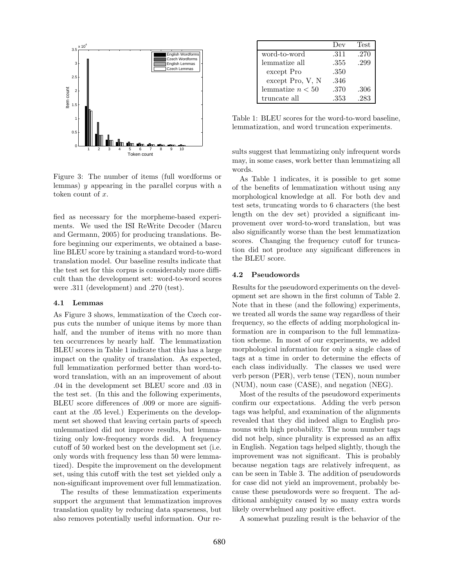

Figure 3: The number of items (full wordforms or lemmas) y appearing in the parallel corpus with a token count of x.

fied as necessary for the morpheme-based experiments. We used the ISI ReWrite Decoder (Marcu and Germann, 2005) for producing translations. Before beginning our experiments, we obtained a baseline BLEU score by training a standard word-to-word translation model. Our baseline results indicate that the test set for this corpus is considerably more difficult than the development set: word-to-word scores were .311 (development) and .270 (test).

#### 4.1 Lemmas

As Figure 3 shows, lemmatization of the Czech corpus cuts the number of unique items by more than half, and the number of items with no more than ten occurrences by nearly half. The lemmatization BLEU scores in Table 1 indicate that this has a large impact on the quality of translation. As expected, full lemmatization performed better than word-toword translation, with an an improvement of about .04 in the development set BLEU score and .03 in the test set. (In this and the following experiments, BLEU score differences of .009 or more are significant at the .05 level.) Experiments on the development set showed that leaving certain parts of speech unlemmatized did not improve results, but lemmatizing only low-frequency words did. A frequency cutoff of 50 worked best on the development set (i.e. only words with frequency less than 50 were lemmatized). Despite the improvement on the development set, using this cutoff with the test set yielded only a non-significant improvement over full lemmatization.

The results of these lemmatization experiments support the argument that lemmatization improves translation quality by reducing data sparseness, but also removes potentially useful information. Our re-

|                    | Dev  | Test |
|--------------------|------|------|
| word-to-word       | .311 | .270 |
| lemmatize all      | .355 | .299 |
| except Pro         | .350 |      |
| except Pro, V, N   | .346 |      |
| lemmatize $n < 50$ | .370 | .306 |
| truncate all       | .353 | .283 |

Table 1: BLEU scores for the word-to-word baseline, lemmatization, and word truncation experiments.

sults suggest that lemmatizing only infrequent words may, in some cases, work better than lemmatizing all words.

As Table 1 indicates, it is possible to get some of the benefits of lemmatization without using any morphological knowledge at all. For both dev and test sets, truncating words to 6 characters (the best length on the dev set) provided a significant improvement over word-to-word translation, but was also significantly worse than the best lemmatization scores. Changing the frequency cutoff for truncation did not produce any significant differences in the BLEU score.

#### 4.2 Pseudowords

Results for the pseudoword experiments on the development set are shown in the first column of Table 2. Note that in these (and the following) experiments, we treated all words the same way regardless of their frequency, so the effects of adding morphological information are in comparison to the full lemmatization scheme. In most of our experiments, we added morphological information for only a single class of tags at a time in order to determine the effects of each class individually. The classes we used were verb person (PER), verb tense (TEN), noun number (NUM), noun case (CASE), and negation (NEG).

Most of the results of the pseudoword experiments confirm our expectations. Adding the verb person tags was helpful, and examination of the alignments revealed that they did indeed align to English pronouns with high probability. The noun number tags did not help, since plurality is expressed as an affix in English. Negation tags helped slightly, though the improvement was not significant. This is probably because negation tags are relatively infrequent, as can be seen in Table 3. The addition of pseudowords for case did not yield an improvement, probably because these pseudowords were so frequent. The additional ambiguity caused by so many extra words likely overwhelmed any positive effect.

A somewhat puzzling result is the behavior of the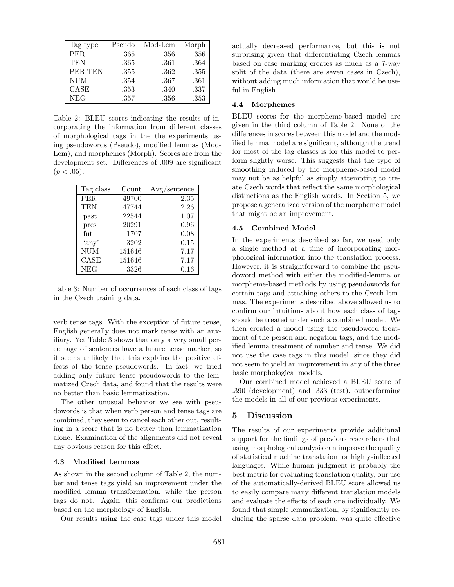| Tag type   | Pseudo | Mod-Lem | Morph |
|------------|--------|---------|-------|
| <b>PER</b> | .365   | .356    | .356  |
| <b>TEN</b> | .365   | .361    | .364  |
| PER, TEN   | .355   | .362    | .355  |
| <b>NUM</b> | .354   | .367    | .361  |
| CASE       | .353   | .340    | .337  |
| NEG        | .357   | .356    | .353  |

Table 2: BLEU scores indicating the results of incorporating the information from different classes of morphological tags in the the experiments using pseudowords (Pseudo), modified lemmas (Mod-Lem), and morphemes (Morph). Scores are from the development set. Differences of .009 are significant  $(p < .05)$ .

| Tag class  | $\operatorname{Count}$ | Avg/sentence |
|------------|------------------------|--------------|
| <b>PER</b> | 49700                  | 2.35         |
| TEN        | 47744                  | 2.26         |
| past       | 22544                  | 1.07         |
| pres       | 20291                  | 0.96         |
| fut        | 1707                   | 0.08         |
| 'any'      | 3202                   | 0.15         |
| <b>NUM</b> | 151646                 | 7.17         |
| CASE       | 151646                 | 7.17         |
| NEG        | 3326                   | 0.16         |

Table 3: Number of occurrences of each class of tags in the Czech training data.

verb tense tags. With the exception of future tense, English generally does not mark tense with an auxiliary. Yet Table 3 shows that only a very small percentage of sentences have a future tense marker, so it seems unlikely that this explains the positive effects of the tense pseudowords. In fact, we tried adding only future tense pseudowords to the lemmatized Czech data, and found that the results were no better than basic lemmatization.

The other unusual behavior we see with pseudowords is that when verb person and tense tags are combined, they seem to cancel each other out, resulting in a score that is no better than lemmatization alone. Examination of the alignments did not reveal any obvious reason for this effect.

#### 4.3 Modified Lemmas

As shown in the second column of Table 2, the number and tense tags yield an improvement under the modified lemma transformation, while the person tags do not. Again, this confirms our predictions based on the morphology of English.

Our results using the case tags under this model

actually decreased performance, but this is not surprising given that differentiating Czech lemmas based on case marking creates as much as a 7-way split of the data (there are seven cases in Czech), without adding much information that would be useful in English.

#### 4.4 Morphemes

BLEU scores for the morpheme-based model are given in the third column of Table 2. None of the differences in scores between this model and the modified lemma model are significant, although the trend for most of the tag classes is for this model to perform slightly worse. This suggests that the type of smoothing induced by the morpheme-based model may not be as helpful as simply attempting to create Czech words that reflect the same morphological distinctions as the English words. In Section 5, we propose a generalized version of the morpheme model that might be an improvement.

#### 4.5 Combined Model

In the experiments described so far, we used only a single method at a time of incorporating morphological information into the translation process. However, it is straightforward to combine the pseudoword method with either the modified-lemma or morpheme-based methods by using pseudowords for certain tags and attaching others to the Czech lemmas. The experiments described above allowed us to confirm our intuitions about how each class of tags should be treated under such a combined model. We then created a model using the pseudoword treatment of the person and negation tags, and the modified lemma treatment of number and tense. We did not use the case tags in this model, since they did not seem to yield an improvement in any of the three basic morphological models.

Our combined model achieved a BLEU score of .390 (development) and .333 (test), outperforming the models in all of our previous experiments.

# 5 Discussion

The results of our experiments provide additional support for the findings of previous researchers that using morphological analysis can improve the quality of statistical machine translation for highly-inflected languages. While human judgment is probably the best metric for evaluating translation quality, our use of the automatically-derived BLEU score allowed us to easily compare many different translation models and evaluate the effects of each one individually. We found that simple lemmatization, by significantly reducing the sparse data problem, was quite effective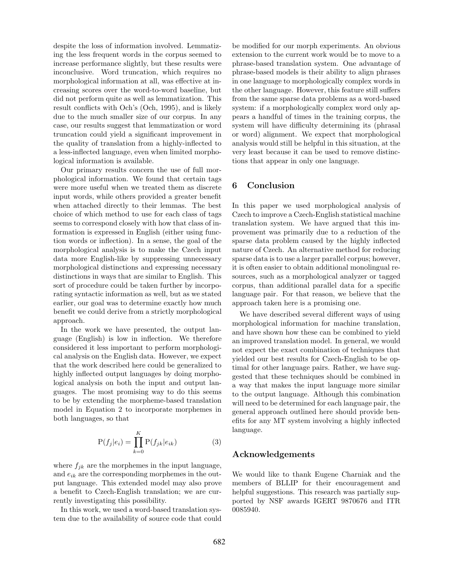despite the loss of information involved. Lemmatizing the less frequent words in the corpus seemed to increase performance slightly, but these results were inconclusive. Word truncation, which requires no morphological information at all, was effective at increasing scores over the word-to-word baseline, but did not perform quite as well as lemmatization. This result conflicts with Och's (Och, 1995), and is likely due to the much smaller size of our corpus. In any case, our results suggest that lemmatization or word truncation could yield a significant improvement in the quality of translation from a highly-inflected to a less-inflected language, even when limited morphological information is available.

Our primary results concern the use of full morphological information. We found that certain tags were more useful when we treated them as discrete input words, while others provided a greater benefit when attached directly to their lemmas. The best choice of which method to use for each class of tags seems to correspond closely with how that class of information is expressed in English (either using function words or inflection). In a sense, the goal of the morphological analysis is to make the Czech input data more English-like by suppressing unnecessary morphological distinctions and expressing necessary distinctions in ways that are similar to English. This sort of procedure could be taken further by incorporating syntactic information as well, but as we stated earlier, our goal was to determine exactly how much benefit we could derive from a strictly morphological approach.

In the work we have presented, the output language (English) is low in inflection. We therefore considered it less important to perform morphological analysis on the English data. However, we expect that the work described here could be generalized to highly inflected output languages by doing morphological analysis on both the input and output languages. The most promising way to do this seems to be by extending the morpheme-based translation model in Equation 2 to incorporate morphemes in both languages, so that

$$
P(f_j|e_i) = \prod_{k=0}^{K} P(f_{jk}|e_{ik})
$$
\n(3)

where  $f_{ik}$  are the morphemes in the input language, and  $e_{ik}$  are the corresponding morphemes in the output language. This extended model may also prove a benefit to Czech-English translation; we are currently investigating this possibility.

In this work, we used a word-based translation system due to the availability of source code that could be modified for our morph experiments. An obvious extension to the current work would be to move to a phrase-based translation system. One advantage of phrase-based models is their ability to align phrases in one language to morphologically complex words in the other language. However, this feature still suffers from the same sparse data problems as a word-based system: if a morphologically complex word only appears a handful of times in the training corpus, the system will have difficulty determining its (phrasal or word) alignment. We expect that morphological analysis would still be helpful in this situation, at the very least because it can be used to remove distinctions that appear in only one language.

# 6 Conclusion

In this paper we used morphological analysis of Czech to improve a Czech-English statistical machine translation system. We have argued that this improvement was primarily due to a reduction of the sparse data problem caused by the highly inflected nature of Czech. An alternative method for reducing sparse data is to use a larger parallel corpus; however, it is often easier to obtain additional monolingual resources, such as a morphological analyzer or tagged corpus, than additional parallel data for a specific language pair. For that reason, we believe that the approach taken here is a promising one.

We have described several different ways of using morphological information for machine translation, and have shown how these can be combined to yield an improved translation model. In general, we would not expect the exact combination of techniques that yielded our best results for Czech-English to be optimal for other language pairs. Rather, we have suggested that these techniques should be combined in a way that makes the input language more similar to the output language. Although this combination will need to be determined for each language pair, the general approach outlined here should provide benefits for any MT system involving a highly inflected language.

# Acknowledgements

We would like to thank Eugene Charniak and the members of BLLIP for their encouragement and helpful suggestions. This research was partially supported by NSF awards IGERT 9870676 and ITR 0085940.